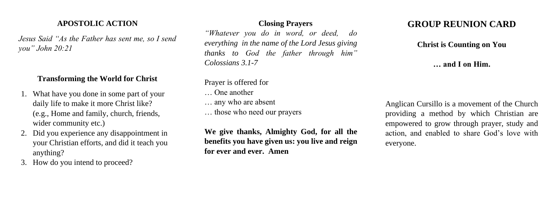# **APOSTOLIC ACTION**

*Jesus Said "As the Father has sent me, so I send you" John 20:21*

### **Transforming the World for Christ**

- 1. What have you done in some part of your daily life to make it more Christ like? (e.g., Home and family, church, friends, wider community etc.)
- 2. Did you experience any disappointment in your Christian efforts, and did it teach you anything?
- 3. How do you intend to proceed?

**Closing Prayers** *"Whatever you do in word, or deed, do everything in the name of the Lord Jesus giving thanks to God the father through him" Colossians 3.1-7*

Prayer is offered for

- … One another
- … any who are absent
- … those who need our prayers

**We give thanks, Almighty God, for all the benefits you have given us: you live and reign for ever and ever. Amen**

# **GROUP REUNION CARD**

### **Christ is Counting on You**

### **… and I on Him.**

Anglican Cursillo is a movement of the Church providing a method by which Christian are empowered to grow through prayer, study and action, and enabled to share God's love with everyone.